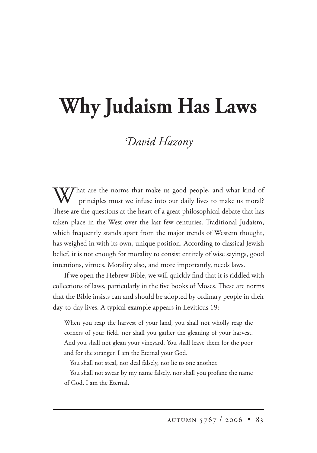# **Why Judaism Has Laws**

# David Hazony

W hat are the norms that make us good people, and what kind of principles must we infuse into our daily lives to make us moral? These are the questions at the heart of a great philosophical debate that has taken place in the West over the last few centuries. Traditional Judaism, which frequently stands apart from the major trends of Western thought, has weighed in with its own, unique position. According to classical Jewish belief, it is not enough for morality to consist entirely of wise sayings, good intentions, virtues. Morality also, and more importantly, needs laws.

If we open the Hebrew Bible, we will quickly find that it is riddled with collections of laws, particularly in the five books of Moses. These are norms that the Bible insists can and should be adopted by ordinary people in their day-to-day lives. A typical example appears in Leviticus 19:

When you reap the harvest of your land, you shall not wholly reap the corners of your field, nor shall you gather the gleaning of your harvest. And you shall not glean your vineyard. You shall leave them for the poor and for the stranger. I am the Eternal your God.

You shall not steal, nor deal falsely, nor lie to one another.

You shall not swear by my name falsely, nor shall you profane the name of God. I am the Eternal.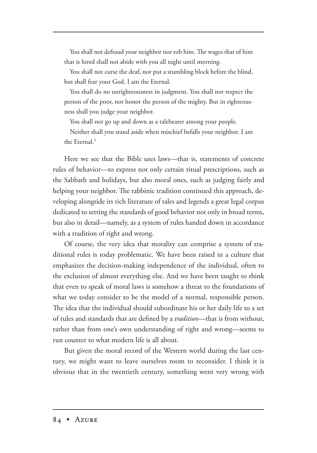You shall not defraud your neighbor nor rob him. The wages that of him that is hired shall not abide with you all night until morning.

You shall not curse the deaf, nor put a stumbling block before the blind, but shall fear your God. I am the Eternal.

You shall do no unrighteousness in judgment. You shall not respect the person of the poor, nor honor the person of the mighty. But in righteousness shall you judge your neighbor.

You shall not go up and down as a talebearer among your people.

Neither shall you stand aside when mischief befalls your neighbor. I am the Eternal. $<sup>1</sup>$ </sup>

Here we see that the Bible uses laws—that is, statements of concrete rules of behavior—to express not only certain ritual prescriptions, such as the Sabbath and holidays, but also moral ones, such as judging fairly and helping your neighbor. The rabbinic tradition continued this approach, developing alongside its rich literature of tales and legends a great legal corpus dedicated to setting the standards of good behavior not only in broad terms, but also in detail—namely, as a system of rules handed down in accordance with a tradition of right and wrong.

Of course, the very idea that morality can comprise a system of traditional rules is today problematic. We have been raised in a culture that emphasizes the decision-making independence of the individual, often to the exclusion of almost everything else. And we have been taught to think that even to speak of moral laws is somehow a threat to the foundations of what we today consider to be the model of a normal, responsible person. The idea that the individual should subordinate his or her daily life to a set of rules and standards that are defined by a *tradition*—that is from without, rather than from one's own understanding of right and wrong—seems to run counter to what modern life is all about.

But given the moral record of the Western world during the last century, we might want to leave ourselves room to reconsider. I think it is obvious that in the twentieth century, something went very wrong with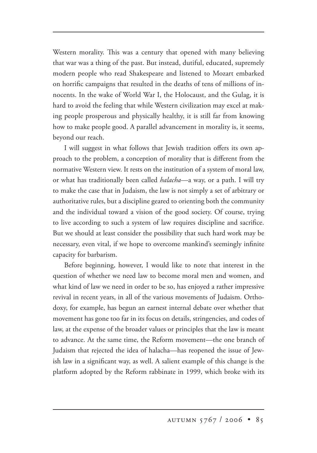Western morality. This was a century that opened with many believing that war was a thing of the past. But instead, dutiful, educated, supremely modern people who read Shakespeare and listened to Mozart embarked on horrific campaigns that resulted in the deaths of tens of millions of innocents. In the wake of World War I, the Holocaust, and the Gulag, it is hard to avoid the feeling that while Western civilization may excel at making people prosperous and physically healthy, it is still far from knowing how to make people good. A parallel advancement in morality is, it seems, beyond our reach.

I will suggest in what follows that Jewish tradition offers its own approach to the problem, a conception of morality that is different from the normative Western view. It rests on the institution of a system of moral law, or what has traditionally been called *halacha*—a way, or a path. I will try to make the case that in Judaism, the law is not simply a set of arbitrary or authoritative rules, but a discipline geared to orienting both the community and the individual toward a vision of the good society. Of course, trying to live according to such a system of law requires discipline and sacrifice. But we should at least consider the possibility that such hard work may be necessary, even vital, if we hope to overcome mankind's seemingly infinite capacity for barbarism.

Before beginning, however, I would like to note that interest in the question of whether we need law to become moral men and women, and what kind of law we need in order to be so, has enjoyed a rather impressive revival in recent years, in all of the various movements of Judaism. Orthodoxy, for example, has begun an earnest internal debate over whether that movement has gone too far in its focus on details, stringencies, and codes of law, at the expense of the broader values or principles that the law is meant to advance. At the same time, the Reform movement—the one branch of Judaism that rejected the idea of halacha—has reopened the issue of Jewish law in a significant way, as well. A salient example of this change is the platform adopted by the Reform rabbinate in 1999, which broke with its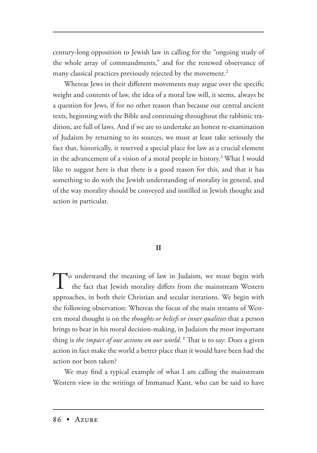century-long opposition to Jewish law in calling for the "ongoing study of the whole array of commandments," and for the renewed observance of many classical practices previously rejected by the movement.<sup>2</sup>

Whereas Jews in their different movements may argue over the specific weight and contents of law, the idea of a moral law will, it seems, always be a question for Jews, if for no other reason than because our central ancient texts, beginning with the Bible and continuing throughout the rabbinic tradition, are full of laws. And if we are to undertake an honest re-examination of Judaism by returning to its sources, we must at least take seriously the fact that, historically, it reserved a special place for law as a crucial element in the advancement of a vision of a moral people in history.<sup>3</sup> What I would like to suggest here is that there is a good reason for this, and that it has something to do with the Jewish understanding of morality in general, and of the way morality should be conveyed and instilled in Jewish thought and action in particular.

## **II**

To understand the meaning of law in Judaism, we must begin with the fact that Jewish morality differs from the mainstream Western approaches, in both their Christian and secular iterations. We begin with the following observation: Whereas the focus of the main streams of Western moral thought is on the *thoughts or beliefs or inner qualities* that a person brings to bear in his moral decision-making, in Judaism the most important thing is *the impact of our actions on our world*. <sup>4</sup> That is to say: Does a given action in fact make the world a better place than it would have been had the action not been taken?

We may find a typical example of what I am calling the mainstream Western view in the writings of Immanuel Kant, who can be said to have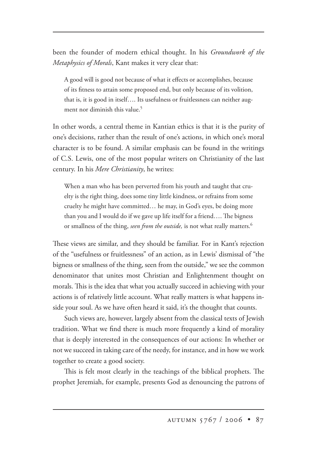been the founder of modern ethical thought. In his *Groundwork of the Metaphysics of Morals*, Kant makes it very clear that:

A good will is good not because of what it effects or accomplishes, because of its fitness to attain some proposed end, but only because of its volition, that is, it is good in itself…. Its usefulness or fruitlessness can neither augment nor diminish this value.<sup>5</sup>

In other words, a central theme in Kantian ethics is that it is the purity of one's decisions, rather than the result of one's actions, in which one's moral character is to be found. A similar emphasis can be found in the writings of C.S. Lewis, one of the most popular writers on Christianity of the last century. In his *Mere Christianity*, he writes:

When a man who has been perverted from his youth and taught that cruelty is the right thing, does some tiny little kindness, or refrains from some cruelty he might have committed… he may, in God's eyes, be doing more than you and I would do if we gave up life itself for a friend.... The bigness or smallness of the thing, *seen from the outside*, is not what really matters.<sup>6</sup>

These views are similar, and they should be familiar. For in Kant's rejection of the "usefulness or fruitlessness" of an action, as in Lewis' dismissal of "the bigness or smallness of the thing, seen from the outside," we see the common denominator that unites most Christian and Enlightenment thought on morals. This is the idea that what you actually succeed in achieving with your actions is of relatively little account. What really matters is what happens inside your soul. As we have often heard it said, it's the thought that counts.

Such views are, however, largely absent from the classical texts of Jewish tradition. What we find there is much more frequently a kind of morality that is deeply interested in the consequences of our actions: In whether or not we succeed in taking care of the needy, for instance, and in how we work together to create a good society.

This is felt most clearly in the teachings of the biblical prophets. The prophet Jeremiah, for example, presents God as denouncing the patrons of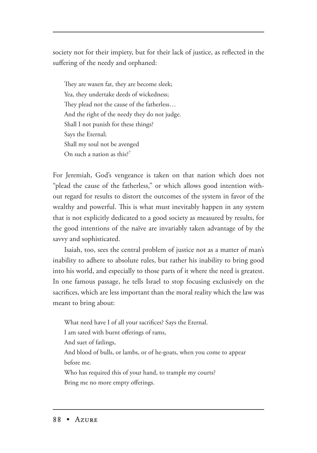society not for their impiety, but for their lack of justice, as reflected in the suffering of the needy and orphaned:

They are waxen fat, they are become sleek; Yea, they undertake deeds of wickedness; They plead not the cause of the fatherless... And the right of the needy they do not judge. Shall I not punish for these things? Says the Eternal; Shall my soul not be avenged On such a nation as this?<sup>7</sup>

For Jeremiah, God's vengeance is taken on that nation which does not "plead the cause of the fatherless," or which allows good intention without regard for results to distort the outcomes of the system in favor of the wealthy and powerful. This is what must inevitably happen in any system that is not explicitly dedicated to a good society as measured by results, for the good intentions of the naïve are invariably taken advantage of by the savvy and sophisticated.

Isaiah, too, sees the central problem of justice not as a matter of man's inability to adhere to absolute rules, but rather his inability to bring good into his world, and especially to those parts of it where the need is greatest. In one famous passage, he tells Israel to stop focusing exclusively on the sacrifices, which are less important than the moral reality which the law was meant to bring about:

What need have I of all your sacrifices? Says the Eternal.

I am sated with burnt offerings of rams,

And suet of fatlings,

And blood of bulls, or lambs, or of he-goats, when you come to appear before me.

Who has required this of your hand, to trample my courts? Bring me no more empty offerings.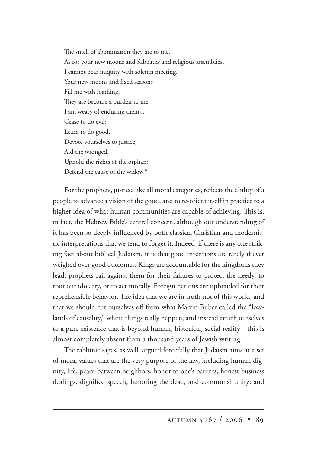The smell of abomination they are to me. As for your new moons and Sabbaths and religious assemblies, I cannot bear iniquity with solemn meeting. Your new moons and fixed seasons Fill me with loathing; They are become a burden to me; I am weary of enduring them... Cease to do evil; Learn to do good, Devote yourselves to justice; Aid the wronged. Uphold the rights of the orphan; Defend the cause of the widow.<sup>8</sup>

For the prophets, justice, like all moral categories, reflects the ability of a people to advance a vision of the good, and to re-orient itself in practice to a higher idea of what human communities are capable of achieving. This is, in fact, the Hebrew Bible's central concern, although our understanding of it has been so deeply influenced by both classical Christian and modernistic interpretations that we tend to forget it. Indeed, if there is any one striking fact about biblical Judaism, it is that good intentions are rarely if ever weighed over good outcomes. Kings are accountable for the kingdoms they lead; prophets rail against them for their failures to protect the needy, to root out idolatry, or to act morally. Foreign nations are upbraided for their reprehensible behavior. The idea that we are in truth not of this world, and that we should cut ourselves off from what Martin Buber called the "lowlands of causality," where things really happen, and instead attach ourselves to a pure existence that is beyond human, historical, social reality—this is almost completely absent from a thousand years of Jewish writing.

The rabbinic sages, as well, argued forcefully that Judaism aims at a set of moral values that are the very purpose of the law, including human dignity, life, peace between neighbors, honor to one's parents, honest business dealings, dignified speech, honoring the dead, and communal unity; and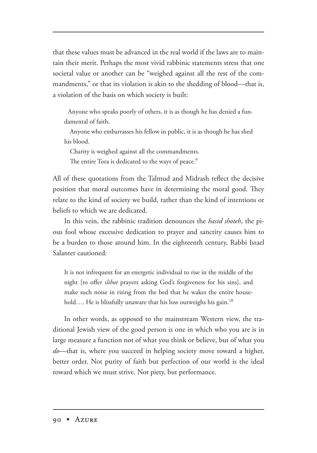that these values must be advanced in the real world if the laws are to maintain their merit. Perhaps the most vivid rabbinic statements stress that one societal value or another can be "weighed against all the rest of the commandments," or that its violation is akin to the shedding of blood—that is, a violation of the basis on which society is built:

Anyone who speaks poorly of others, it is as though he has denied a fundamental of faith.

Anyone who embarrasses his fellow in public, it is as though he has shed his blood.

Charity is weighed against all the commandments. The entire Tora is dedicated to the ways of peace.<sup>9</sup>

All of these quotations from the Talmud and Midrash reflect the decisive position that moral outcomes have in determining the moral good. They relate to the kind of society we build, rather than the kind of intentions or beliefs to which we are dedicated.

In this vein, the rabbinic tradition denounces the *hasid shoteh*, the pious fool whose excessive dedication to prayer and sanctity causes him to be a burden to those around him. In the eighteenth century, Rabbi Israel Salanter cautioned:

It is not infrequent for an energetic individual to rise in the middle of the night [to offer *slihot* prayers asking God's forgiveness for his sins], and make such noise in rising from the bed that he wakes the entire household.... He is blissfully unaware that his loss outweighs his gain.<sup>10</sup>

In other words, as opposed to the mainstream Western view, the traditional Jewish view of the good person is one in which who you are is in large measure a function not of what you think or believe, but of what you *do*—that is, where you succeed in helping society move toward a higher, better order. Not purity of faith but perfection of our world is the ideal toward which we must strive. Not piety, but performance.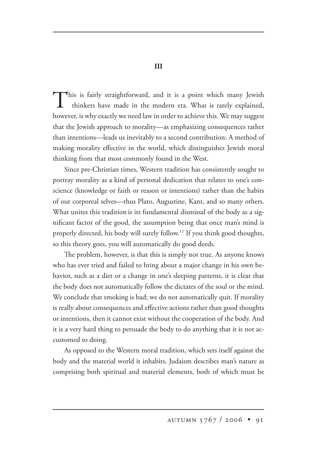**III**

This is fairly straightforward, and it is a point which many Jewish thinkers have made in the modern era. What is rarely explained, however, is why exactly we need law in order to achieve this. We may suggest that the Jewish approach to morality—as emphasizing consequences rather than intentions—leads us inevitably to a second contribution: A method of making morality effective in the world, which distinguishes Jewish moral thinking from that most commonly found in the West.

Since pre-Christian times, Western tradition has consistently sought to portray morality as a kind of personal dedication that relates to one's conscience (knowledge or faith or reason or intentions) rather than the habits of our corporeal selves—thus Plato, Augustine, Kant, and so many others. What unites this tradition is its fundamental dismissal of the body as a significant factor of the good, the assumption being that once man's mind is properly directed, his body will surely follow.<sup>11</sup> If you think good thoughts, so this theory goes, you will automatically do good deeds.

The problem, however, is that this is simply not true. As anyone knows who has ever tried and failed to bring about a major change in his own behavior, such as a diet or a change in one's sleeping patterns, it is clear that the body does not automatically follow the dictates of the soul or the mind. We conclude that smoking is bad; we do not automatically quit. If morality is really about consequences and effective actions rather than good thoughts or intentions, then it cannot exist without the cooperation of the body. And it is a very hard thing to persuade the body to do anything that it is not accustomed to doing.

As opposed to the Western moral tradition, which sets itself against the body and the material world it inhabits, Judaism describes man's nature as comprising both spiritual and material elements, both of which must be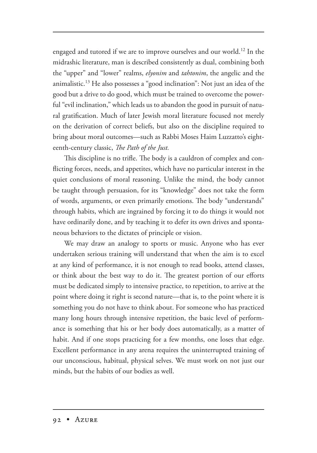engaged and tutored if we are to improve ourselves and our world.<sup>12</sup> In the midrashic literature, man is described consistently as dual, combining both the "upper" and "lower" realms, *elyonim* and *tahtonim*, the angelic and the animalistic.<sup>13</sup> He also possesses a "good inclination": Not just an idea of the good but a drive to do good, which must be trained to overcome the powerful "evil inclination," which leads us to abandon the good in pursuit of natural gratification. Much of later Jewish moral literature focused not merely on the derivation of correct beliefs, but also on the discipline required to bring about moral outcomes—such as Rabbi Moses Haim Luzzatto's eighteenth-century classic, *The Path of the Just*.

This discipline is no trifle. The body is a cauldron of complex and conflicting forces, needs, and appetites, which have no particular interest in the quiet conclusions of moral reasoning. Unlike the mind, the body cannot be taught through persuasion, for its "knowledge" does not take the form of words, arguments, or even primarily emotions. The body "understands" through habits, which are ingrained by forcing it to do things it would not have ordinarily done, and by teaching it to defer its own drives and spontaneous behaviors to the dictates of principle or vision.

We may draw an analogy to sports or music. Anyone who has ever undertaken serious training will understand that when the aim is to excel at any kind of performance, it is not enough to read books, attend classes, or think about the best way to do it. The greatest portion of our efforts must be dedicated simply to intensive practice, to repetition, to arrive at the point where doing it right is second nature—that is, to the point where it is something you do not have to think about. For someone who has practiced many long hours through intensive repetition, the basic level of performance is something that his or her body does automatically, as a matter of habit. And if one stops practicing for a few months, one loses that edge. Excellent performance in any arena requires the uninterrupted training of our unconscious, habitual, physical selves. We must work on not just our minds, but the habits of our bodies as well.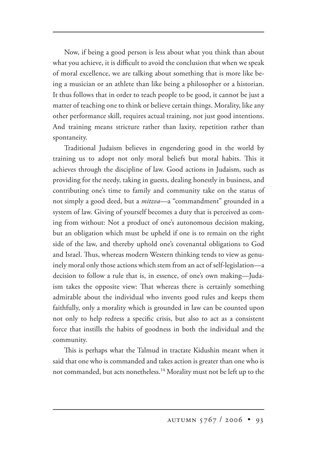Now, if being a good person is less about what you think than about what you achieve, it is difficult to avoid the conclusion that when we speak of moral excellence, we are talking about something that is more like being a musician or an athlete than like being a philosopher or a historian. It thus follows that in order to teach people to be good, it cannot be just a matter of teaching one to think or believe certain things. Morality, like any other performance skill, requires actual training, not just good intentions. And training means stricture rather than laxity, repetition rather than spontaneity.

Traditional Judaism believes in engendering good in the world by training us to adopt not only moral beliefs but moral habits. This it achieves through the discipline of law. Good actions in Judaism, such as providing for the needy, taking in guests, dealing honestly in business, and contributing one's time to family and community take on the status of not simply a good deed, but a *mitzva*—a "commandment" grounded in a system of law. Giving of yourself becomes a duty that is perceived as coming from without: Not a product of one's autonomous decision making, but an obligation which must be upheld if one is to remain on the right side of the law, and thereby uphold one's covenantal obligations to God and Israel. Thus, whereas modern Western thinking tends to view as genuinely moral only those actions which stem from an act of self-legislation—a decision to follow a rule that is, in essence, of one's own making—Judaism takes the opposite view: That whereas there is certainly something admirable about the individual who invents good rules and keeps them faithfully, only a morality which is grounded in law can be counted upon not only to help redress a specific crisis, but also to act as a consistent force that instills the habits of goodness in both the individual and the community.

This is perhaps what the Talmud in tractate Kidushin meant when it said that one who is commanded and takes action is greater than one who is not commanded, but acts nonetheless.14 Morality must not be left up to the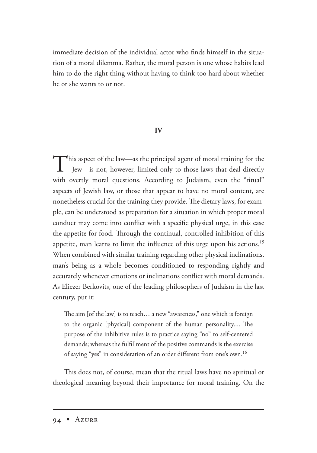immediate decision of the individual actor who finds himself in the situation of a moral dilemma. Rather, the moral person is one whose habits lead him to do the right thing without having to think too hard about whether he or she wants to or not.

# **IV**

This aspect of the law—as the principal agent of moral training for the Jew—is not, however, limited only to those laws that deal directly with overtly moral questions. According to Judaism, even the "ritual" aspects of Jewish law, or those that appear to have no moral content, are nonetheless crucial for the training they provide. The dietary laws, for example, can be understood as preparation for a situation in which proper moral conduct may come into conflict with a specific physical urge, in this case the appetite for food. Through the continual, controlled inhibition of this appetite, man learns to limit the influence of this urge upon his actions.<sup>15</sup> When combined with similar training regarding other physical inclinations, man's being as a whole becomes conditioned to responding rightly and accurately whenever emotions or inclinations conflict with moral demands. As Eliezer Berkovits, one of the leading philosophers of Judaism in the last century, put it:

The aim [of the law] is to teach... a new "awareness," one which is foreign to the organic [physical] component of the human personality.... The purpose of the inhibitive rules is to practice saying "no" to self-centered demands; whereas the fulfillment of the positive commands is the exercise of saying "yes" in consideration of an order different from one's own.<sup>16</sup>

This does not, of course, mean that the ritual laws have no spiritual or theological meaning beyond their importance for moral training. On the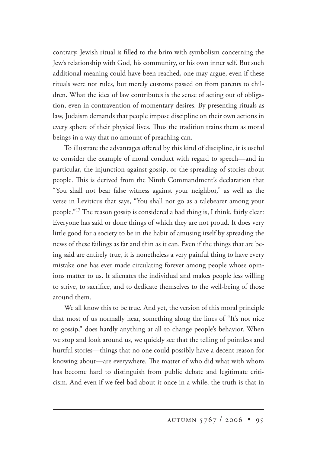contrary, Jewish ritual is filled to the brim with symbolism concerning the Jew's relationship with God, his community, or his own inner self. But such additional meaning could have been reached, one may argue, even if these rituals were not rules, but merely customs passed on from parents to children. What the idea of law contributes is the sense of acting out of obligation, even in contravention of momentary desires. By presenting rituals as law, Judaism demands that people impose discipline on their own actions in every sphere of their physical lives. Thus the tradition trains them as moral beings in a way that no amount of preaching can.

To illustrate the advantages offered by this kind of discipline, it is useful to consider the example of moral conduct with regard to speech—and in particular, the injunction against gossip, or the spreading of stories about people. This is derived from the Ninth Commandment's declaration that "You shall not bear false witness against your neighbor," as well as the verse in Leviticus that says, "You shall not go as a talebearer among your people."<sup>17</sup> The reason gossip is considered a bad thing is, I think, fairly clear: Everyone has said or done things of which they are not proud. It does very little good for a society to be in the habit of amusing itself by spreading the news of these failings as far and thin as it can. Even if the things that are being said are entirely true, it is nonetheless a very painful thing to have every mistake one has ever made circulating forever among people whose opinions matter to us. It alienates the individual and makes people less willing to strive, to sacrifice, and to dedicate themselves to the well-being of those around them.

We all know this to be true. And yet, the version of this moral principle that most of us normally hear, something along the lines of "It's not nice to gossip," does hardly anything at all to change people's behavior. When we stop and look around us, we quickly see that the telling of pointless and hurtful stories—things that no one could possibly have a decent reason for knowing about—are everywhere. The matter of who did what with whom has become hard to distinguish from public debate and legitimate criticism. And even if we feel bad about it once in a while, the truth is that in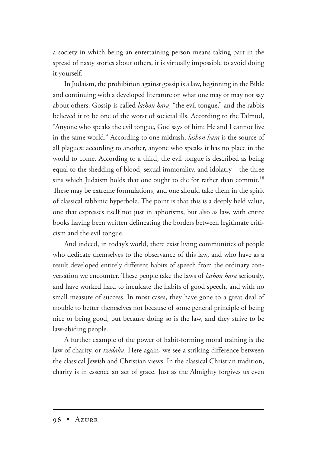a society in which being an entertaining person means taking part in the spread of nasty stories about others, it is virtually impossible to avoid doing it yourself.

In Judaism, the prohibition against gossip is a law, beginning in the Bible and continuing with a developed literature on what one may or may not say about others. Gossip is called *lashon hara*, "the evil tongue," and the rabbis believed it to be one of the worst of societal ills. According to the Talmud, "Anyone who speaks the evil tongue, God says of him: He and I cannot live in the same world." According to one midrash, *lashon hara* is the source of all plagues; according to another, anyone who speaks it has no place in the world to come. According to a third, the evil tongue is described as being equal to the shedding of blood, sexual immorality, and idolatry—the three sins which Judaism holds that one ought to die for rather than commit.<sup>18</sup> These may be extreme formulations, and one should take them in the spirit of classical rabbinic hyperbole. The point is that this is a deeply held value, one that expresses itself not just in aphorisms, but also as law, with entire books having been written delineating the borders between legitimate criticism and the evil tongue.

And indeed, in today's world, there exist living communities of people who dedicate themselves to the observance of this law, and who have as a result developed entirely different habits of speech from the ordinary conversation we encounter. These people take the laws of *lashon hara* seriously, and have worked hard to inculcate the habits of good speech, and with no small measure of success. In most cases, they have gone to a great deal of trouble to better themselves not because of some general principle of being nice or being good, but because doing so is the law, and they strive to be law-abiding people.

A further example of the power of habit-forming moral training is the law of charity, or *tzedaka*. Here again, we see a striking difference between the classical Jewish and Christian views. In the classical Christian tradition, charity is in essence an act of grace. Just as the Almighty forgives us even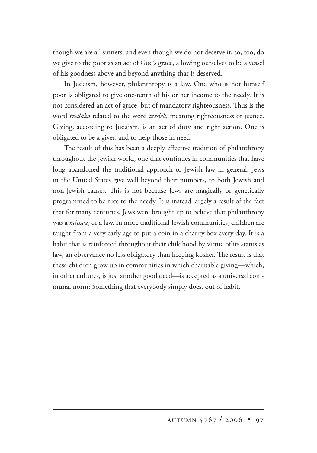though we are all sinners, and even though we do not deserve it, so, too, do we give to the poor as an act of God's grace, allowing ourselves to be a vessel of his goodness above and beyond anything that is deserved.

In Judaism, however, philanthropy is a law. One who is not himself poor is obligated to give one-tenth of his or her income to the needy. It is not considered an act of grace, but of mandatory righteousness. Thus is the word *tzedaka* related to the word *tzedek*, meaning righteousness or justice. Giving, according to Judaism, is an act of duty and right action. One is obligated to be a giver, and to help those in need.

The result of this has been a deeply effective tradition of philanthropy throughout the Jewish world, one that continues in communities that have long abandoned the traditional approach to Jewish law in general. Jews in the United States give well beyond their numbers, to both Jewish and non-Jewish causes. This is not because Jews are magically or genetically programmed to be nice to the needy. It is instead largely a result of the fact that for many centuries, Jews were brought up to believe that philanthropy was a *mitzva*, or a law. In more traditional Jewish communities, children are taught from a very early age to put a coin in a charity box every day. It is a habit that is reinforced throughout their childhood by virtue of its status as law, an observance no less obligatory than keeping kosher. The result is that these children grow up in communities in which charitable giving—which, in other cultures, is just another good deed—is accepted as a universal communal norm: Something that everybody simply does, out of habit.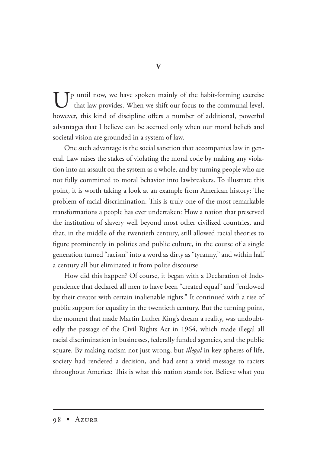Up until now, we have spoken mainly of the habit-forming exercise that law provides. When we shift our focus to the communal level, however, this kind of discipline offers a number of additional, powerful advantages that I believe can be accrued only when our moral beliefs and societal vision are grounded in a system of law.

One such advantage is the social sanction that accompanies law in general. Law raises the stakes of violating the moral code by making any violation into an assault on the system as a whole, and by turning people who are not fully committed to moral behavior into lawbreakers. To illustrate this point, it is worth taking a look at an example from American history: The problem of racial discrimination. This is truly one of the most remarkable transformations a people has ever undertaken: How a nation that preserved the institution of slavery well beyond most other civilized countries, and that, in the middle of the twentieth century, still allowed racial theories to figure prominently in politics and public culture, in the course of a single generation turned "racism" into a word as dirty as "tyranny," and within half a century all but eliminated it from polite discourse.

How did this happen? Of course, it began with a Declaration of Independence that declared all men to have been "created equal" and "endowed by their creator with certain inalienable rights." It continued with a rise of public support for equality in the twentieth century. But the turning point, the moment that made Martin Luther King's dream a reality, was undoubtedly the passage of the Civil Rights Act in 1964, which made illegal all racial discrimination in businesses, federally funded agencies, and the public square. By making racism not just wrong, but *illegal* in key spheres of life, society had rendered a decision, and had sent a vivid message to racists throughout America: This is what this nation stands for. Believe what you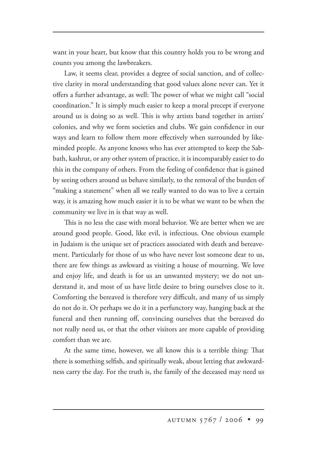want in your heart, but know that this country holds you to be wrong and counts you among the lawbreakers.

Law, it seems clear, provides a degree of social sanction, and of collective clarity in moral understanding that good values alone never can. Yet it offers a further advantage, as well: The power of what we might call "social coordination." It is simply much easier to keep a moral precept if everyone around us is doing so as well. This is why artists band together in artists' colonies, and why we form societies and clubs. We gain confidence in our ways and learn to follow them more effectively when surrounded by likeminded people. As anyone knows who has ever attempted to keep the Sabbath, kashrut, or any other system of practice, it is incomparably easier to do this in the company of others. From the feeling of confidence that is gained by seeing others around us behave similarly, to the removal of the burden of "making a statement" when all we really wanted to do was to live a certain way, it is amazing how much easier it is to be what we want to be when the community we live in is that way as well.

This is no less the case with moral behavior. We are better when we are around good people. Good, like evil, is infectious. One obvious example in Judaism is the unique set of practices associated with death and bereavement. Particularly for those of us who have never lost someone dear to us, there are few things as awkward as visiting a house of mourning. We love and enjoy life, and death is for us an unwanted mystery; we do not understand it, and most of us have little desire to bring ourselves close to it. Comforting the bereaved is therefore very difficult, and many of us simply do not do it. Or perhaps we do it in a perfunctory way, hanging back at the funeral and then running off, convincing ourselves that the bereaved do not really need us, or that the other visitors are more capable of providing comfort than we are.

At the same time, however, we all know this is a terrible thing: That there is something selfish, and spiritually weak, about letting that awkwardness carry the day. For the truth is, the family of the deceased may need us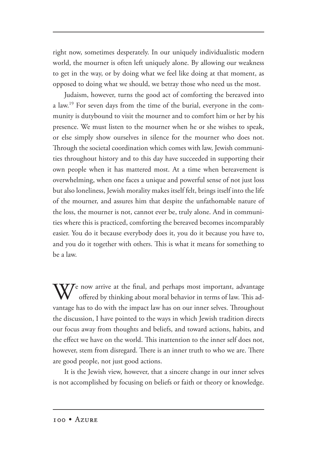right now, sometimes desperately. In our uniquely individualistic modern world, the mourner is often left uniquely alone. By allowing our weakness to get in the way, or by doing what we feel like doing at that moment, as opposed to doing what we should, we betray those who need us the most.

Judaism, however, turns the good act of comforting the bereaved into a law.19 For seven days from the time of the burial, everyone in the community is dutybound to visit the mourner and to comfort him or her by his presence. We must listen to the mourner when he or she wishes to speak, or else simply show ourselves in silence for the mourner who does not. Through the societal coordination which comes with law, Jewish communities throughout history and to this day have succeeded in supporting their own people when it has mattered most. At a time when bereavement is overwhelming, when one faces a unique and powerful sense of not just loss but also loneliness, Jewish morality makes itself felt, brings itself into the life of the mourner, and assures him that despite the unfathomable nature of the loss, the mourner is not, cannot ever be, truly alone. And in communities where this is practiced, comforting the bereaved becomes incomparably easier. You do it because everybody does it, you do it because you have to, and you do it together with others. This is what it means for something to be a law.

We now arrive at the final, and perhaps most important, advantage of fered by thinking about moral behavior in terms of law. This advantage has to do with the impact law has on our inner selves. Throughout the discussion, I have pointed to the ways in which Jewish tradition directs our focus away from thoughts and beliefs, and toward actions, habits, and the effect we have on the world. This inattention to the inner self does not, however, stem from disregard. There is an inner truth to who we are. There are good people, not just good actions.

It is the Jewish view, however, that a sincere change in our inner selves is not accomplished by focusing on beliefs or faith or theory or knowledge.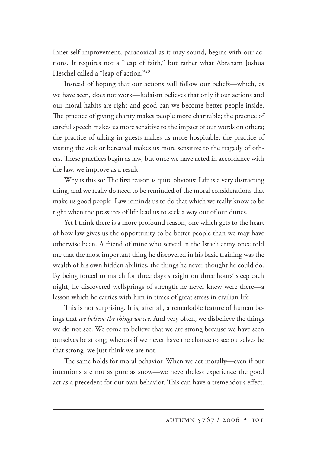Inner self-improvement, paradoxical as it may sound, begins with our actions. It requires not a "leap of faith," but rather what Abraham Joshua Heschel called a "leap of action."20

Instead of hoping that our actions will follow our beliefs—which, as we have seen, does not work—Judaism believes that only if our actions and our moral habits are right and good can we become better people inside. The practice of giving charity makes people more charitable; the practice of careful speech makes us more sensitive to the impact of our words on others; the practice of taking in guests makes us more hospitable; the practice of visiting the sick or bereaved makes us more sensitive to the tragedy of others. These practices begin as law, but once we have acted in accordance with the law, we improve as a result.

Why is this so? The first reason is quite obvious: Life is a very distracting thing, and we really do need to be reminded of the moral considerations that make us good people. Law reminds us to do that which we really know to be right when the pressures of life lead us to seek a way out of our duties.

Yet I think there is a more profound reason, one which gets to the heart of how law gives us the opportunity to be better people than we may have otherwise been. A friend of mine who served in the Israeli army once told me that the most important thing he discovered in his basic training was the wealth of his own hidden abilities, the things he never thought he could do. By being forced to march for three days straight on three hours' sleep each night, he discovered wellsprings of strength he never knew were there—a lesson which he carries with him in times of great stress in civilian life.

This is not surprising. It is, after all, a remarkable feature of human beings that *we believe the things we see*. And very often, we disbelieve the things we do not see. We come to believe that we are strong because we have seen ourselves be strong; whereas if we never have the chance to see ourselves be that strong, we just think we are not.

The same holds for moral behavior. When we act morally—even if our intentions are not as pure as snow—we nevertheless experience the good act as a precedent for our own behavior. This can have a tremendous effect.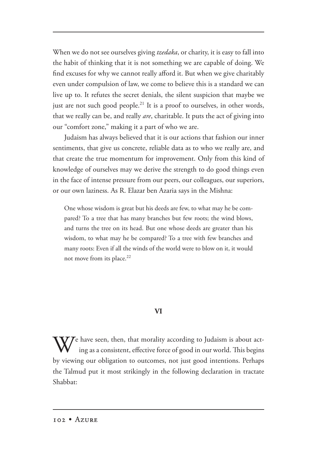When we do not see ourselves giving *tzedaka*, or charity, it is easy to fall into the habit of thinking that it is not something we are capable of doing. We find excuses for why we cannot really afford it. But when we give charitably even under compulsion of law, we come to believe this is a standard we can live up to. It refutes the secret denials, the silent suspicion that maybe we just are not such good people.<sup>21</sup> It is a proof to ourselves, in other words, that we really can be, and really *are*, charitable. It puts the act of giving into our "comfort zone," making it a part of who we are.

Judaism has always believed that it is our actions that fashion our inner sentiments, that give us concrete, reliable data as to who we really are, and that create the true momentum for improvement. Only from this kind of knowledge of ourselves may we derive the strength to do good things even in the face of intense pressure from our peers, our colleagues, our superiors, or our own laziness. As R. Elazar ben Azaria says in the Mishna:

One whose wisdom is great but his deeds are few, to what may he be compared? To a tree that has many branches but few roots; the wind blows, and turns the tree on its head. But one whose deeds are greater than his wisdom, to what may he be compared? To a tree with few branches and many roots: Even if all the winds of the world were to blow on it, it would not move from its place.<sup>22</sup>

#### **VI**

 $\mathbf{V}$   $\mathbf{V}$  have seen, then, that morality according to Judaism is about acting as a consistent, effective force of good in our world. This begins by viewing our obligation to outcomes, not just good intentions. Perhaps the Talmud put it most strikingly in the following declaration in tractate Shabbat: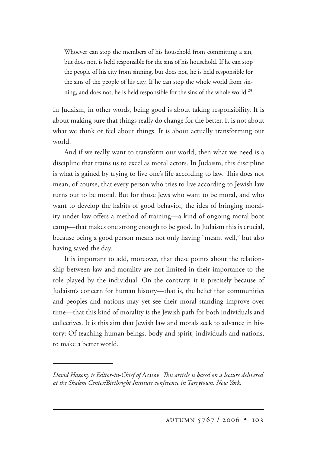Whoever can stop the members of his household from committing a sin, but does not, is held responsible for the sins of his household. If he can stop the people of his city from sinning, but does not, he is held responsible for the sins of the people of his city. If he can stop the whole world from sinning, and does not, he is held responsible for the sins of the whole world.<sup>23</sup>

In Judaism, in other words, being good is about taking responsibility. It is about making sure that things really do change for the better. It is not about what we think or feel about things. It is about actually transforming our world.

And if we really want to transform our world, then what we need is a discipline that trains us to excel as moral actors. In Judaism, this discipline is what is gained by trying to live one's life according to law. This does not mean, of course, that every person who tries to live according to Jewish law turns out to be moral. But for those Jews who want to be moral, and who want to develop the habits of good behavior, the idea of bringing morality under law offers a method of training—a kind of ongoing moral boot camp—that makes one strong enough to be good. In Judaism this is crucial, because being a good person means not only having "meant well," but also having saved the day.

It is important to add, moreover, that these points about the relationship between law and morality are not limited in their importance to the role played by the individual. On the contrary, it is precisely because of Judaism's concern for human history—that is, the belief that communities and peoples and nations may yet see their moral standing improve over time—that this kind of morality is the Jewish path for both individuals and collectives. It is this aim that Jewish law and morals seek to advance in history: Of teaching human beings, body and spirit, individuals and nations, to make a better world.

*David Hazony is Editor-in-Chief of* A*. is article is based on a lecture delivered at the Shalem Center/Birthright Institute conference in Tarrytown, New York.*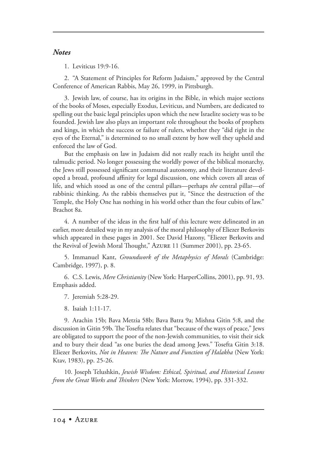## *Notes*

1. Leviticus 19:9-16.

2. "A Statement of Principles for Reform Judaism," approved by the Central Conference of American Rabbis, May 26, 1999, in Pittsburgh.

3. Jewish law, of course, has its origins in the Bible, in which major sections of the books of Moses, especially Exodus, Leviticus, and Numbers, are dedicated to spelling out the basic legal principles upon which the new Israelite society was to be founded. Jewish law also plays an important role throughout the books of prophets and kings, in which the success or failure of rulers, whether they "did right in the eyes of the Eternal," is determined to no small extent by how well they upheld and enforced the law of God.

But the emphasis on law in Judaism did not really reach its height until the talmudic period. No longer possessing the worldly power of the biblical monarchy, the Jews still possessed significant communal autonomy, and their literature developed a broad, profound affinity for legal discussion, one which covers all areas of life, and which stood as one of the central pillars—perhaps *the* central pillar—of rabbinic thinking. As the rabbis themselves put it, "Since the destruction of the Temple, the Holy One has nothing in his world other than the four cubits of law." Brachot 8a.

4. A number of the ideas in the first half of this lecture were delineated in an earlier, more detailed way in my analysis of the moral philosophy of Eliezer Berkovits which appeared in these pages in 2001. See David Hazony, "Eliezer Berkovits and the Revival of Jewish Moral Thought," AzURE 11 (Summer 2001), pp. 23-65.

5. Immanuel Kant, *Groundwork of the Metaphysics of Morals* (Cambridge: Cambridge, 1997), p. 8.

6. C.S. Lewis, *Mere Christianity* (New York: HarperCollins, 2001), pp. 91, 93. Emphasis added.

7. Jeremiah 5:28-29.

8. Isaiah 1:11-17.

9. Arachin 15b; Bava Metzia 58b; Bava Batra 9a; Mishna Gitin 5:8, and the discussion in Gitin 59b. The Tosefta relates that "because of the ways of peace," Jews are obligated to support the poor of the non-Jewish communities, to visit their sick and to bury their dead "as one buries the dead among Jews." Tosefta Gitin 3:18. Eliezer Berkovits, *Not in Heaven: The Nature and Function of Halakha* (New York: Ktav, 1983), pp. 25-26.

10. Joseph Telushkin, *Jewish Wisdom: Ethical, Spiritual, and Historical Lessons from the Great Works and Thinkers* (New York: Morrow, 1994), pp. 331-332.